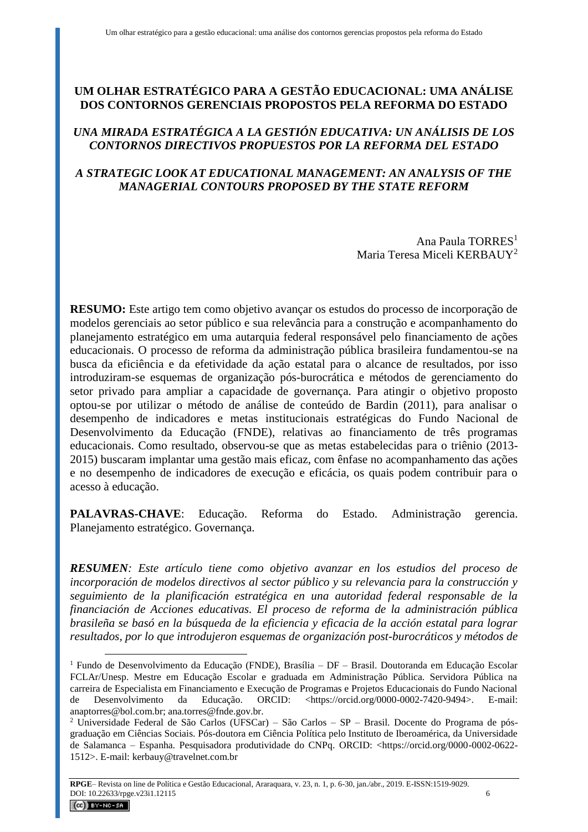# **UM OLHAR ESTRATÉGICO PARA A GESTÃO EDUCACIONAL: UMA ANÁLISE DOS CONTORNOS GERENCIAIS PROPOSTOS PELA REFORMA DO ESTADO**

## *UNA MIRADA ESTRATÉGICA A LA GESTIÓN EDUCATIVA: UN ANÁLISIS DE LOS CONTORNOS DIRECTIVOS PROPUESTOS POR LA REFORMA DEL ESTADO*

## *A STRATEGIC LOOK AT EDUCATIONAL MANAGEMENT: AN ANALYSIS OF THE MANAGERIAL CONTOURS PROPOSED BY THE STATE REFORM*

Ana Paula TORRES<sup>1</sup> Maria Teresa Miceli KERBAUY<sup>2</sup>

**RESUMO:** Este artigo tem como objetivo avançar os estudos do processo de incorporação de modelos gerenciais ao setor público e sua relevância para a construção e acompanhamento do planejamento estratégico em uma autarquia federal responsável pelo financiamento de ações educacionais. O processo de reforma da administração pública brasileira fundamentou-se na busca da eficiência e da efetividade da ação estatal para o alcance de resultados, por isso introduziram-se esquemas de organização pós-burocrática e métodos de gerenciamento do setor privado para ampliar a capacidade de governança. Para atingir o objetivo proposto optou-se por utilizar o método de análise de conteúdo de Bardin (2011), para analisar o desempenho de indicadores e metas institucionais estratégicas do Fundo Nacional de Desenvolvimento da Educação (FNDE), relativas ao financiamento de três programas educacionais. Como resultado, observou-se que as metas estabelecidas para o triênio (2013- 2015) buscaram implantar uma gestão mais eficaz, com ênfase no acompanhamento das ações e no desempenho de indicadores de execução e eficácia, os quais podem contribuir para o acesso à educação.

**PALAVRAS-CHAVE**: Educação. Reforma do Estado. Administração gerencia. Planejamento estratégico. Governança.

*RESUMEN: Este artículo tiene como objetivo avanzar en los estudios del proceso de incorporación de modelos directivos al sector público y su relevancia para la construcción y seguimiento de la planificación estratégica en una autoridad federal responsable de la financiación de Acciones educativas. El proceso de reforma de la administración pública brasileña se basó en la búsqueda de la eficiencia y eficacia de la acción estatal para lograr resultados, por lo que introdujeron esquemas de organización post-burocráticos y métodos de* 

<sup>&</sup>lt;sup>1</sup> Fundo de Desenvolvimento da Educação (FNDE), Brasília – DF – Brasil. Doutoranda em Educação Escolar FCLAr/Unesp. Mestre em Educação Escolar e graduada em Administração Pública. Servidora Pública na carreira de Especialista em Financiamento e Execução de Programas e Projetos Educacionais do Fundo Nacional de Desenvolvimento da Educação. ORCID: <https://orcid.org/0000-0002-7420-9494>. E-mail: anaptorres@bol.com.br; ana.torres@fnde.gov.br.

<sup>2</sup> Universidade Federal de São Carlos (UFSCar) – São Carlos – SP – Brasil. Docente do Programa de pósgraduação em Ciências Sociais. Pós-doutora em Ciência Política pelo Instituto de Iberoamérica, da Universidade de Salamanca – Espanha. Pesquisadora produtividade do CNPq. ORCID: <https://orcid.org/0000-0002-0622- 1512>. E-mail: kerbauy@travelnet.com.br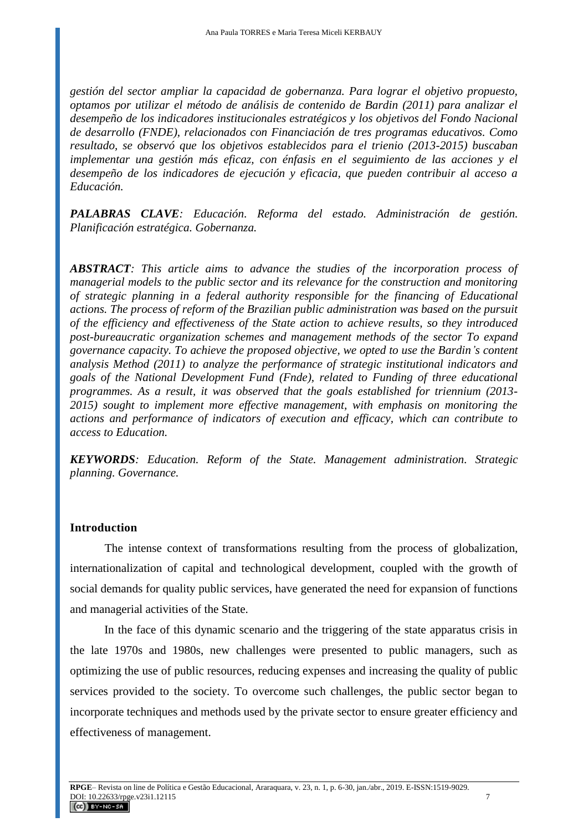*gestión del sector ampliar la capacidad de gobernanza. Para lograr el objetivo propuesto, optamos por utilizar el método de análisis de contenido de Bardin (2011) para analizar el desempeño de los indicadores institucionales estratégicos y los objetivos del Fondo Nacional de desarrollo (FNDE), relacionados con Financiación de tres programas educativos. Como resultado, se observó que los objetivos establecidos para el trienio (2013-2015) buscaban implementar una gestión más eficaz, con énfasis en el seguimiento de las acciones y el desempeño de los indicadores de ejecución y eficacia, que pueden contribuir al acceso a Educación.* 

*PALABRAS CLAVE: Educación. Reforma del estado. Administración de gestión. Planificación estratégica. Gobernanza.*

*ABSTRACT: This article aims to advance the studies of the incorporation process of managerial models to the public sector and its relevance for the construction and monitoring of strategic planning in a federal authority responsible for the financing of Educational actions. The process of reform of the Brazilian public administration was based on the pursuit of the efficiency and effectiveness of the State action to achieve results, so they introduced post-bureaucratic organization schemes and management methods of the sector To expand governance capacity. To achieve the proposed objective, we opted to use the Bardin's content analysis Method (2011) to analyze the performance of strategic institutional indicators and goals of the National Development Fund (Fnde), related to Funding of three educational programmes. As a result, it was observed that the goals established for triennium (2013- 2015) sought to implement more effective management, with emphasis on monitoring the actions and performance of indicators of execution and efficacy, which can contribute to access to Education.* 

*KEYWORDS: Education. Reform of the State. Management administration. Strategic planning. Governance.*

### **Introduction**

The intense context of transformations resulting from the process of globalization, internationalization of capital and technological development, coupled with the growth of social demands for quality public services, have generated the need for expansion of functions and managerial activities of the State.

In the face of this dynamic scenario and the triggering of the state apparatus crisis in the late 1970s and 1980s, new challenges were presented to public managers, such as optimizing the use of public resources, reducing expenses and increasing the quality of public services provided to the society. To overcome such challenges, the public sector began to incorporate techniques and methods used by the private sector to ensure greater efficiency and effectiveness of management.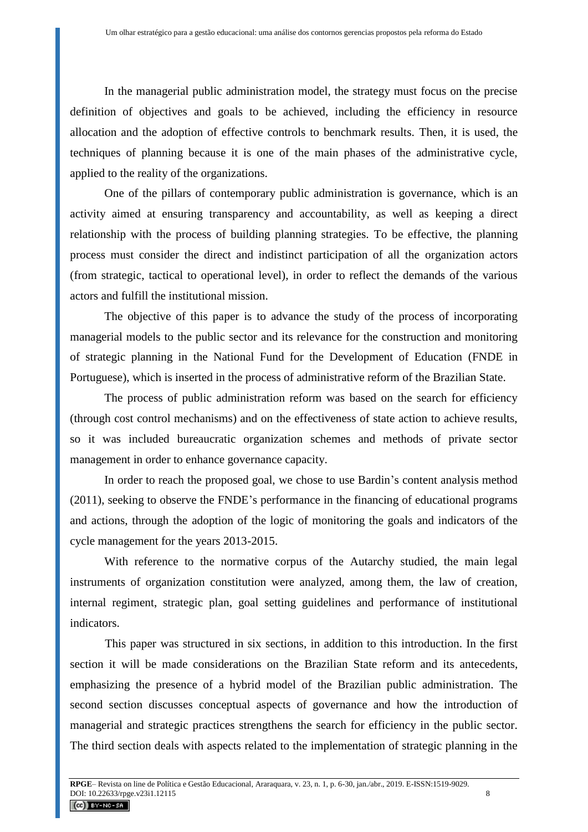In the managerial public administration model, the strategy must focus on the precise definition of objectives and goals to be achieved, including the efficiency in resource allocation and the adoption of effective controls to benchmark results. Then, it is used, the techniques of planning because it is one of the main phases of the administrative cycle, applied to the reality of the organizations.

One of the pillars of contemporary public administration is governance, which is an activity aimed at ensuring transparency and accountability, as well as keeping a direct relationship with the process of building planning strategies. To be effective, the planning process must consider the direct and indistinct participation of all the organization actors (from strategic, tactical to operational level), in order to reflect the demands of the various actors and fulfill the institutional mission.

The objective of this paper is to advance the study of the process of incorporating managerial models to the public sector and its relevance for the construction and monitoring of strategic planning in the National Fund for the Development of Education (FNDE in Portuguese), which is inserted in the process of administrative reform of the Brazilian State.

The process of public administration reform was based on the search for efficiency (through cost control mechanisms) and on the effectiveness of state action to achieve results, so it was included bureaucratic organization schemes and methods of private sector management in order to enhance governance capacity.

In order to reach the proposed goal, we chose to use Bardin's content analysis method (2011), seeking to observe the FNDE's performance in the financing of educational programs and actions, through the adoption of the logic of monitoring the goals and indicators of the cycle management for the years 2013-2015.

With reference to the normative corpus of the Autarchy studied, the main legal instruments of organization constitution were analyzed, among them, the law of creation, internal regiment, strategic plan, goal setting guidelines and performance of institutional indicators.

This paper was structured in six sections, in addition to this introduction. In the first section it will be made considerations on the Brazilian State reform and its antecedents, emphasizing the presence of a hybrid model of the Brazilian public administration. The second section discusses conceptual aspects of governance and how the introduction of managerial and strategic practices strengthens the search for efficiency in the public sector. The third section deals with aspects related to the implementation of strategic planning in the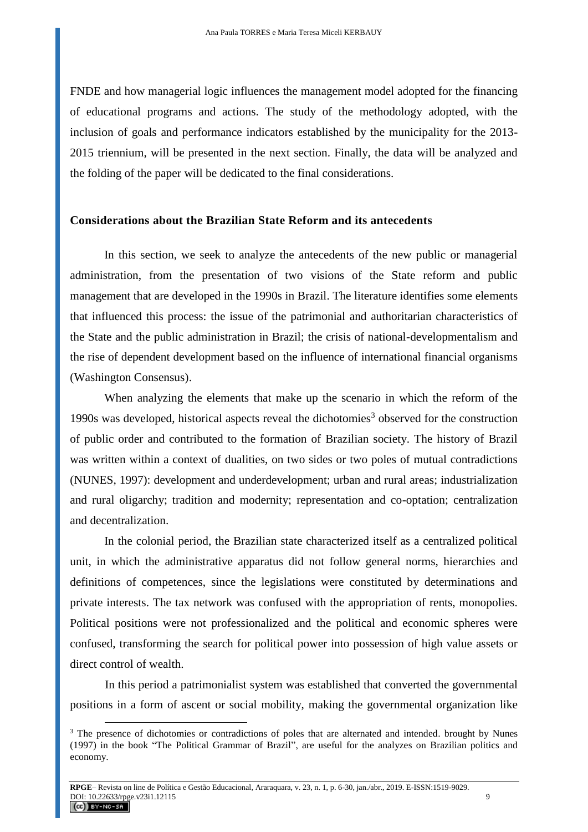FNDE and how managerial logic influences the management model adopted for the financing of educational programs and actions. The study of the methodology adopted, with the inclusion of goals and performance indicators established by the municipality for the 2013- 2015 triennium, will be presented in the next section. Finally, the data will be analyzed and the folding of the paper will be dedicated to the final considerations.

#### **Considerations about the Brazilian State Reform and its antecedents**

In this section, we seek to analyze the antecedents of the new public or managerial administration, from the presentation of two visions of the State reform and public management that are developed in the 1990s in Brazil. The literature identifies some elements that influenced this process: the issue of the patrimonial and authoritarian characteristics of the State and the public administration in Brazil; the crisis of national-developmentalism and the rise of dependent development based on the influence of international financial organisms (Washington Consensus).

When analyzing the elements that make up the scenario in which the reform of the 1990s was developed, historical aspects reveal the dichotomies<sup>3</sup> observed for the construction of public order and contributed to the formation of Brazilian society. The history of Brazil was written within a context of dualities, on two sides or two poles of mutual contradictions (NUNES, 1997): development and underdevelopment; urban and rural areas; industrialization and rural oligarchy; tradition and modernity; representation and co-optation; centralization and decentralization.

In the colonial period, the Brazilian state characterized itself as a centralized political unit, in which the administrative apparatus did not follow general norms, hierarchies and definitions of competences, since the legislations were constituted by determinations and private interests. The tax network was confused with the appropriation of rents, monopolies. Political positions were not professionalized and the political and economic spheres were confused, transforming the search for political power into possession of high value assets or direct control of wealth.

In this period a patrimonialist system was established that converted the governmental positions in a form of ascent or social mobility, making the governmental organization like

<sup>&</sup>lt;sup>3</sup> The presence of dichotomies or contradictions of poles that are alternated and intended. brought by Nunes (1997) in the book "The Political Grammar of Brazil", are useful for the analyzes on Brazilian politics and economy.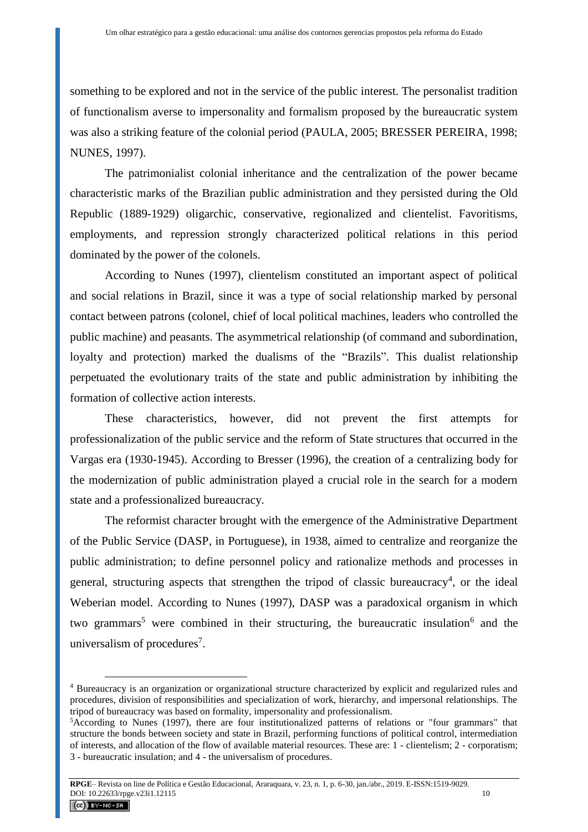something to be explored and not in the service of the public interest. The personalist tradition of functionalism averse to impersonality and formalism proposed by the bureaucratic system was also a striking feature of the colonial period (PAULA, 2005; BRESSER PEREIRA, 1998; NUNES, 1997).

The patrimonialist colonial inheritance and the centralization of the power became characteristic marks of the Brazilian public administration and they persisted during the Old Republic (1889-1929) oligarchic, conservative, regionalized and clientelist. Favoritisms, employments, and repression strongly characterized political relations in this period dominated by the power of the colonels.

According to Nunes (1997), clientelism constituted an important aspect of political and social relations in Brazil, since it was a type of social relationship marked by personal contact between patrons (colonel, chief of local political machines, leaders who controlled the public machine) and peasants. The asymmetrical relationship (of command and subordination, loyalty and protection) marked the dualisms of the "Brazils". This dualist relationship perpetuated the evolutionary traits of the state and public administration by inhibiting the formation of collective action interests.

These characteristics, however, did not prevent the first attempts for professionalization of the public service and the reform of State structures that occurred in the Vargas era (1930-1945). According to Bresser (1996), the creation of a centralizing body for the modernization of public administration played a crucial role in the search for a modern state and a professionalized bureaucracy.

The reformist character brought with the emergence of the Administrative Department of the Public Service (DASP, in Portuguese), in 1938, aimed to centralize and reorganize the public administration; to define personnel policy and rationalize methods and processes in general, structuring aspects that strengthen the tripod of classic bureaucracy<sup>4</sup>, or the ideal Weberian model. According to Nunes (1997), DASP was a paradoxical organism in which two grammars<sup>5</sup> were combined in their structuring, the bureaucratic insulation<sup>6</sup> and the universalism of procedures<sup>7</sup>.

<sup>4</sup> Bureaucracy is an organization or organizational structure characterized by explicit and regularized rules and procedures, division of responsibilities and specialization of work, hierarchy, and impersonal relationships. The tripod of bureaucracy was based on formality, impersonality and professionalism.

<sup>5</sup>According to Nunes (1997), there are four institutionalized patterns of relations or "four grammars" that structure the bonds between society and state in Brazil, performing functions of political control, intermediation of interests, and allocation of the flow of available material resources. These are: 1 - clientelism; 2 - corporatism; 3 - bureaucratic insulation; and 4 - the universalism of procedures.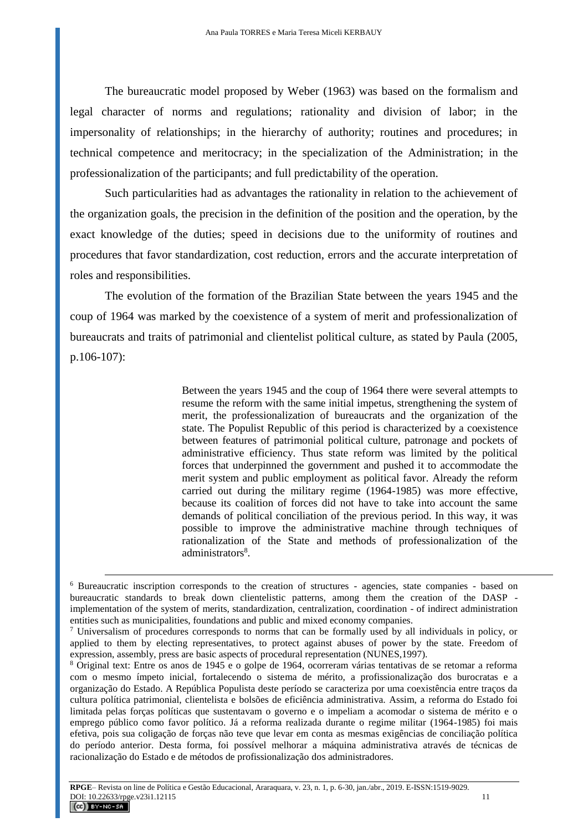The bureaucratic model proposed by Weber (1963) was based on the formalism and legal character of norms and regulations; rationality and division of labor; in the impersonality of relationships; in the hierarchy of authority; routines and procedures; in technical competence and meritocracy; in the specialization of the Administration; in the professionalization of the participants; and full predictability of the operation.

Such particularities had as advantages the rationality in relation to the achievement of the organization goals, the precision in the definition of the position and the operation, by the exact knowledge of the duties; speed in decisions due to the uniformity of routines and procedures that favor standardization, cost reduction, errors and the accurate interpretation of roles and responsibilities.

The evolution of the formation of the Brazilian State between the years 1945 and the coup of 1964 was marked by the coexistence of a system of merit and professionalization of bureaucrats and traits of patrimonial and clientelist political culture, as stated by Paula (2005, p.106-107):

> Between the years 1945 and the coup of 1964 there were several attempts to resume the reform with the same initial impetus, strengthening the system of merit, the professionalization of bureaucrats and the organization of the state. The Populist Republic of this period is characterized by a coexistence between features of patrimonial political culture, patronage and pockets of administrative efficiency. Thus state reform was limited by the political forces that underpinned the government and pushed it to accommodate the merit system and public employment as political favor. Already the reform carried out during the military regime (1964-1985) was more effective, because its coalition of forces did not have to take into account the same demands of political conciliation of the previous period. In this way, it was possible to improve the administrative machine through techniques of rationalization of the State and methods of professionalization of the administrators<sup>8</sup>.

1

<sup>6</sup> Bureaucratic inscription corresponds to the creation of structures - agencies, state companies - based on bureaucratic standards to break down clientelistic patterns, among them the creation of the DASP implementation of the system of merits, standardization, centralization, coordination - of indirect administration entities such as municipalities, foundations and public and mixed economy companies.

<sup>7</sup> Universalism of procedures corresponds to norms that can be formally used by all individuals in policy, or applied to them by electing representatives, to protect against abuses of power by the state. Freedom of expression, assembly, press are basic aspects of procedural representation (NUNES,1997).

<sup>8</sup> Original text: Entre os anos de 1945 e o golpe de 1964, ocorreram várias tentativas de se retomar a reforma com o mesmo ímpeto inicial, fortalecendo o sistema de mérito, a profissionalização dos burocratas e a organização do Estado. A República Populista deste período se caracteriza por uma coexistência entre traços da cultura política patrimonial, clientelista e bolsões de eficiência administrativa. Assim, a reforma do Estado foi limitada pelas forças políticas que sustentavam o governo e o impeliam a acomodar o sistema de mérito e o emprego público como favor político. Já a reforma realizada durante o regime militar (1964-1985) foi mais efetiva, pois sua coligação de forças não teve que levar em conta as mesmas exigências de conciliação política do período anterior. Desta forma, foi possível melhorar a máquina administrativa através de técnicas de racionalização do Estado e de métodos de profissionalização dos administradores.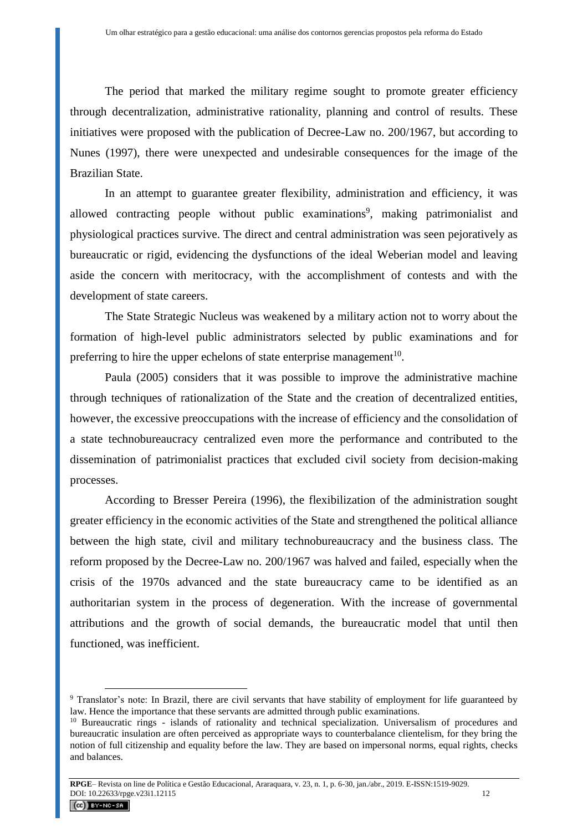The period that marked the military regime sought to promote greater efficiency through decentralization, administrative rationality, planning and control of results. These initiatives were proposed with the publication of Decree-Law no. 200/1967, but according to Nunes (1997), there were unexpected and undesirable consequences for the image of the Brazilian State.

In an attempt to guarantee greater flexibility, administration and efficiency, it was allowed contracting people without public examinations 9 , making patrimonialist and physiological practices survive. The direct and central administration was seen pejoratively as bureaucratic or rigid, evidencing the dysfunctions of the ideal Weberian model and leaving aside the concern with meritocracy, with the accomplishment of contests and with the development of state careers.

The State Strategic Nucleus was weakened by a military action not to worry about the formation of high-level public administrators selected by public examinations and for preferring to hire the upper echelons of state enterprise management<sup>10</sup>.

Paula (2005) considers that it was possible to improve the administrative machine through techniques of rationalization of the State and the creation of decentralized entities, however, the excessive preoccupations with the increase of efficiency and the consolidation of a state technobureaucracy centralized even more the performance and contributed to the dissemination of patrimonialist practices that excluded civil society from decision-making processes.

According to Bresser Pereira (1996), the flexibilization of the administration sought greater efficiency in the economic activities of the State and strengthened the political alliance between the high state, civil and military technobureaucracy and the business class. The reform proposed by the Decree-Law no. 200/1967 was halved and failed, especially when the crisis of the 1970s advanced and the state bureaucracy came to be identified as an authoritarian system in the process of degeneration. With the increase of governmental attributions and the growth of social demands, the bureaucratic model that until then functioned, was inefficient.

<sup>&</sup>lt;sup>9</sup> Translator's note: In Brazil, there are civil servants that have stability of employment for life guaranteed by law. Hence the importance that these servants are admitted through public examinations.

<sup>&</sup>lt;sup>10</sup> Bureaucratic rings - islands of rationality and technical specialization. Universalism of procedures and bureaucratic insulation are often perceived as appropriate ways to counterbalance clientelism, for they bring the notion of full citizenship and equality before the law. They are based on impersonal norms, equal rights, checks and balances.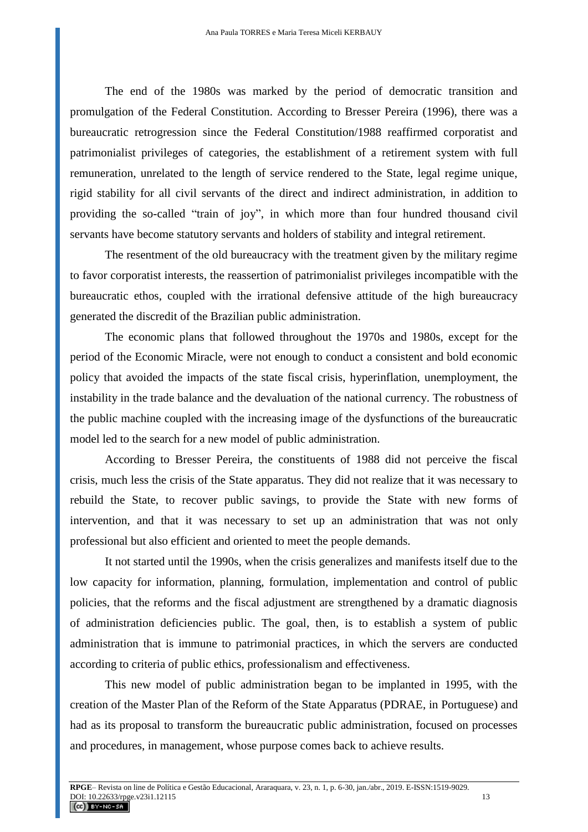The end of the 1980s was marked by the period of democratic transition and promulgation of the Federal Constitution. According to Bresser Pereira (1996), there was a bureaucratic retrogression since the Federal Constitution/1988 reaffirmed corporatist and patrimonialist privileges of categories, the establishment of a retirement system with full remuneration, unrelated to the length of service rendered to the State, legal regime unique, rigid stability for all civil servants of the direct and indirect administration, in addition to providing the so-called "train of joy", in which more than four hundred thousand civil servants have become statutory servants and holders of stability and integral retirement.

The resentment of the old bureaucracy with the treatment given by the military regime to favor corporatist interests, the reassertion of patrimonialist privileges incompatible with the bureaucratic ethos, coupled with the irrational defensive attitude of the high bureaucracy generated the discredit of the Brazilian public administration.

The economic plans that followed throughout the 1970s and 1980s, except for the period of the Economic Miracle, were not enough to conduct a consistent and bold economic policy that avoided the impacts of the state fiscal crisis, hyperinflation, unemployment, the instability in the trade balance and the devaluation of the national currency. The robustness of the public machine coupled with the increasing image of the dysfunctions of the bureaucratic model led to the search for a new model of public administration.

According to Bresser Pereira, the constituents of 1988 did not perceive the fiscal crisis, much less the crisis of the State apparatus. They did not realize that it was necessary to rebuild the State, to recover public savings, to provide the State with new forms of intervention, and that it was necessary to set up an administration that was not only professional but also efficient and oriented to meet the people demands.

It not started until the 1990s, when the crisis generalizes and manifests itself due to the low capacity for information, planning, formulation, implementation and control of public policies, that the reforms and the fiscal adjustment are strengthened by a dramatic diagnosis of administration deficiencies public. The goal, then, is to establish a system of public administration that is immune to patrimonial practices, in which the servers are conducted according to criteria of public ethics, professionalism and effectiveness.

This new model of public administration began to be implanted in 1995, with the creation of the Master Plan of the Reform of the State Apparatus (PDRAE, in Portuguese) and had as its proposal to transform the bureaucratic public administration, focused on processes and procedures, in management, whose purpose comes back to achieve results.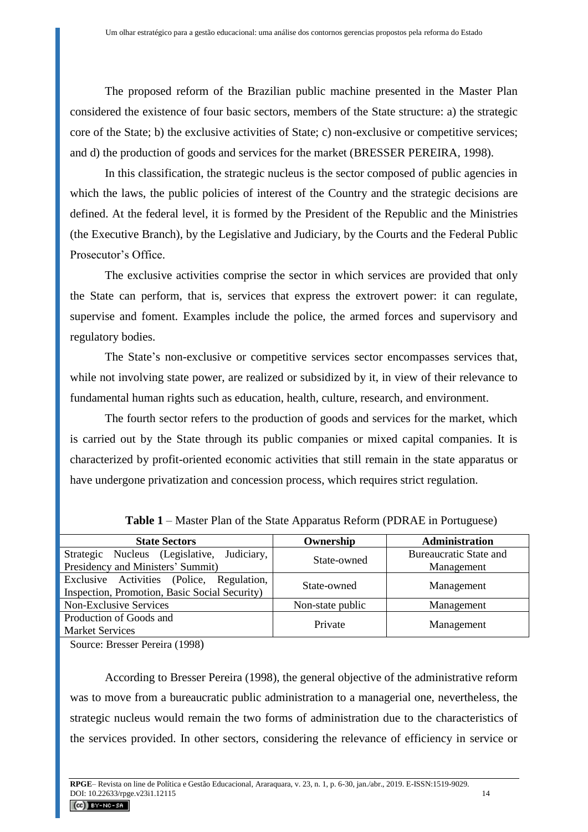The proposed reform of the Brazilian public machine presented in the Master Plan considered the existence of four basic sectors, members of the State structure: a) the strategic core of the State; b) the exclusive activities of State; c) non-exclusive or competitive services; and d) the production of goods and services for the market (BRESSER PEREIRA, 1998).

In this classification, the strategic nucleus is the sector composed of public agencies in which the laws, the public policies of interest of the Country and the strategic decisions are defined. At the federal level, it is formed by the President of the Republic and the Ministries (the Executive Branch), by the Legislative and Judiciary, by the Courts and the Federal Public Prosecutor's Office.

The exclusive activities comprise the sector in which services are provided that only the State can perform, that is, services that express the extrovert power: it can regulate, supervise and foment. Examples include the police, the armed forces and supervisory and regulatory bodies.

The State's non-exclusive or competitive services sector encompasses services that, while not involving state power, are realized or subsidized by it, in view of their relevance to fundamental human rights such as education, health, culture, research, and environment.

The fourth sector refers to the production of goods and services for the market, which is carried out by the State through its public companies or mixed capital companies. It is characterized by profit-oriented economic activities that still remain in the state apparatus or have undergone privatization and concession process, which requires strict regulation.

| <b>State Sectors</b>                                                                       | Ownership        | Administration |  |  |  |
|--------------------------------------------------------------------------------------------|------------------|----------------|--|--|--|
| Strategic Nucleus (Legislative, Judiciary,                                                 | State-owned      |                |  |  |  |
| Presidency and Ministers' Summit)                                                          |                  | Management     |  |  |  |
| Exclusive Activities (Police, Regulation,<br>Inspection, Promotion, Basic Social Security) | State-owned      | Management     |  |  |  |
| <b>Non-Exclusive Services</b>                                                              | Non-state public | Management     |  |  |  |
| Production of Goods and<br><b>Market Services</b>                                          | Private          | Management     |  |  |  |

**Table 1** – Master Plan of the State Apparatus Reform (PDRAE in Portuguese)

Source: Bresser Pereira (1998)

According to Bresser Pereira (1998), the general objective of the administrative reform was to move from a bureaucratic public administration to a managerial one, nevertheless, the strategic nucleus would remain the two forms of administration due to the characteristics of the services provided. In other sectors, considering the relevance of efficiency in service or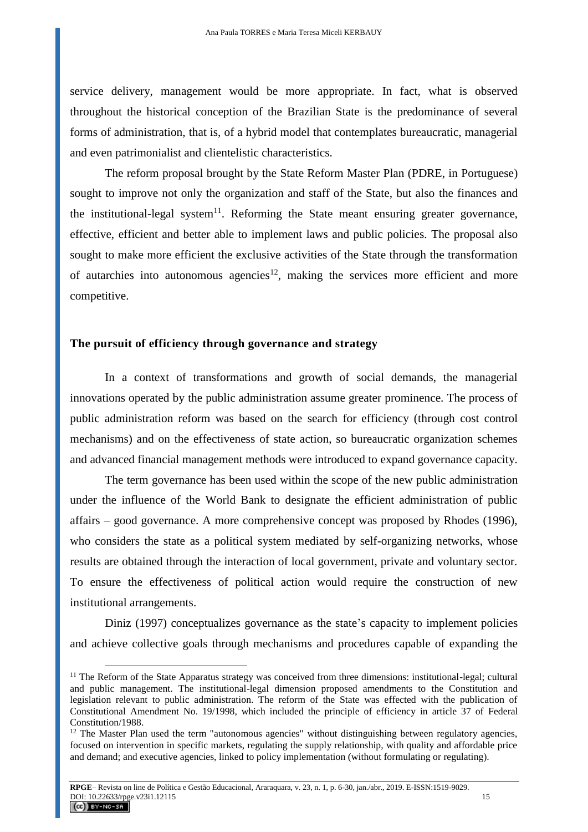service delivery, management would be more appropriate. In fact, what is observed throughout the historical conception of the Brazilian State is the predominance of several forms of administration, that is, of a hybrid model that contemplates bureaucratic, managerial and even patrimonialist and clientelistic characteristics.

The reform proposal brought by the State Reform Master Plan (PDRE, in Portuguese) sought to improve not only the organization and staff of the State, but also the finances and the institutional-legal system<sup>11</sup>. Reforming the State meant ensuring greater governance, effective, efficient and better able to implement laws and public policies. The proposal also sought to make more efficient the exclusive activities of the State through the transformation of autarchies into autonomous agencies<sup>12</sup>, making the services more efficient and more competitive.

#### **The pursuit of efficiency through governance and strategy**

 $\overline{a}$ 

In a context of transformations and growth of social demands, the managerial innovations operated by the public administration assume greater prominence. The process of public administration reform was based on the search for efficiency (through cost control mechanisms) and on the effectiveness of state action, so bureaucratic organization schemes and advanced financial management methods were introduced to expand governance capacity.

The term governance has been used within the scope of the new public administration under the influence of the World Bank to designate the efficient administration of public affairs – good governance. A more comprehensive concept was proposed by Rhodes (1996), who considers the state as a political system mediated by self-organizing networks, whose results are obtained through the interaction of local government, private and voluntary sector. To ensure the effectiveness of political action would require the construction of new institutional arrangements.

Diniz (1997) conceptualizes governance as the state's capacity to implement policies and achieve collective goals through mechanisms and procedures capable of expanding the

 $11$  The Reform of the State Apparatus strategy was conceived from three dimensions: institutional-legal; cultural and public management. The institutional-legal dimension proposed amendments to the Constitution and legislation relevant to public administration. The reform of the State was effected with the publication of Constitutional Amendment No. 19/1998, which included the principle of efficiency in article 37 of Federal Constitution/1988.

<sup>&</sup>lt;sup>12</sup> The Master Plan used the term "autonomous agencies" without distinguishing between regulatory agencies, focused on intervention in specific markets, regulating the supply relationship, with quality and affordable price and demand; and executive agencies, linked to policy implementation (without formulating or regulating).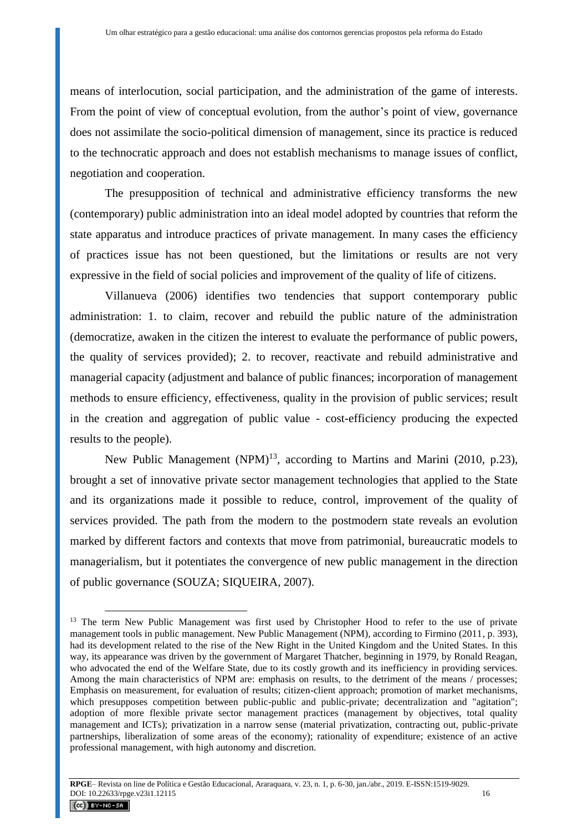means of interlocution, social participation, and the administration of the game of interests. From the point of view of conceptual evolution, from the author's point of view, governance does not assimilate the socio-political dimension of management, since its practice is reduced to the technocratic approach and does not establish mechanisms to manage issues of conflict, negotiation and cooperation.

The presupposition of technical and administrative efficiency transforms the new (contemporary) public administration into an ideal model adopted by countries that reform the state apparatus and introduce practices of private management. In many cases the efficiency of practices issue has not been questioned, but the limitations or results are not very expressive in the field of social policies and improvement of the quality of life of citizens.

Villanueva (2006) identifies two tendencies that support contemporary public administration: 1. to claim, recover and rebuild the public nature of the administration (democratize, awaken in the citizen the interest to evaluate the performance of public powers, the quality of services provided); 2. to recover, reactivate and rebuild administrative and managerial capacity (adjustment and balance of public finances; incorporation of management methods to ensure efficiency, effectiveness, quality in the provision of public services; result in the creation and aggregation of public value - cost-efficiency producing the expected results to the people).

New Public Management  $(NPM)^{13}$ , according to Martins and Marini (2010, p.23), brought a set of innovative private sector management technologies that applied to the State and its organizations made it possible to reduce, control, improvement of the quality of services provided. The path from the modern to the postmodern state reveals an evolution marked by different factors and contexts that move from patrimonial, bureaucratic models to managerialism, but it potentiates the convergence of new public management in the direction of public governance (SOUZA; SIQUEIRA, 2007).

<sup>&</sup>lt;sup>13</sup> The term New Public Management was first used by Christopher Hood to refer to the use of private management tools in public management. New Public Management (NPM), according to Firmino (2011, p. 393), had its development related to the rise of the New Right in the United Kingdom and the United States. In this way, its appearance was driven by the government of Margaret Thatcher, beginning in 1979, by Ronald Reagan, who advocated the end of the Welfare State, due to its costly growth and its inefficiency in providing services. Among the main characteristics of NPM are: emphasis on results, to the detriment of the means / processes; Emphasis on measurement, for evaluation of results; citizen-client approach; promotion of market mechanisms, which presupposes competition between public-public and public-private; decentralization and "agitation"; adoption of more flexible private sector management practices (management by objectives, total quality management and ICTs); privatization in a narrow sense (material privatization, contracting out, public-private partnerships, liberalization of some areas of the economy); rationality of expenditure; existence of an active professional management, with high autonomy and discretion.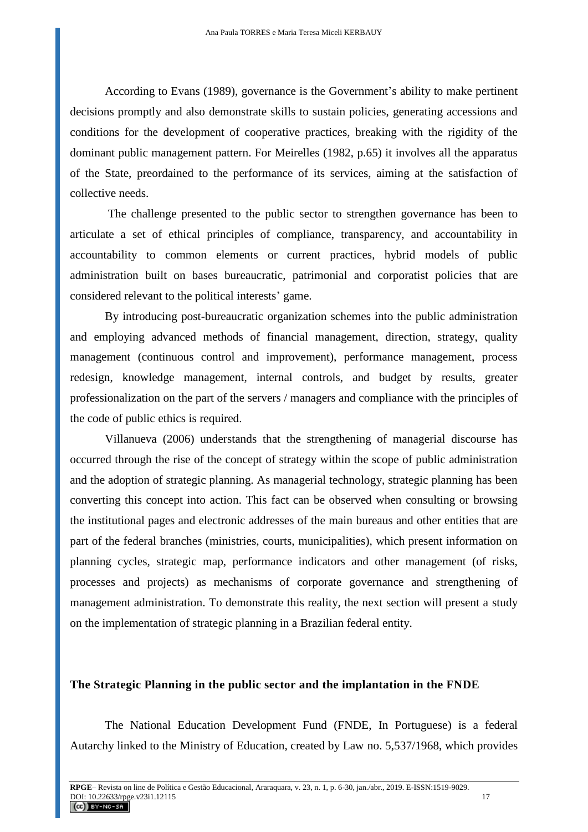According to Evans (1989), governance is the Government's ability to make pertinent decisions promptly and also demonstrate skills to sustain policies, generating accessions and conditions for the development of cooperative practices, breaking with the rigidity of the dominant public management pattern. For Meirelles (1982, p.65) it involves all the apparatus of the State, preordained to the performance of its services, aiming at the satisfaction of collective needs.

The challenge presented to the public sector to strengthen governance has been to articulate a set of ethical principles of compliance, transparency, and accountability in accountability to common elements or current practices, hybrid models of public administration built on bases bureaucratic, patrimonial and corporatist policies that are considered relevant to the political interests' game.

By introducing post-bureaucratic organization schemes into the public administration and employing advanced methods of financial management, direction, strategy, quality management (continuous control and improvement), performance management, process redesign, knowledge management, internal controls, and budget by results, greater professionalization on the part of the servers / managers and compliance with the principles of the code of public ethics is required.

Villanueva (2006) understands that the strengthening of managerial discourse has occurred through the rise of the concept of strategy within the scope of public administration and the adoption of strategic planning. As managerial technology, strategic planning has been converting this concept into action. This fact can be observed when consulting or browsing the institutional pages and electronic addresses of the main bureaus and other entities that are part of the federal branches (ministries, courts, municipalities), which present information on planning cycles, strategic map, performance indicators and other management (of risks, processes and projects) as mechanisms of corporate governance and strengthening of management administration. To demonstrate this reality, the next section will present a study on the implementation of strategic planning in a Brazilian federal entity.

#### **The Strategic Planning in the public sector and the implantation in the FNDE**

The National Education Development Fund (FNDE, In Portuguese) is a federal Autarchy linked to the Ministry of Education, created by Law no. 5,537/1968, which provides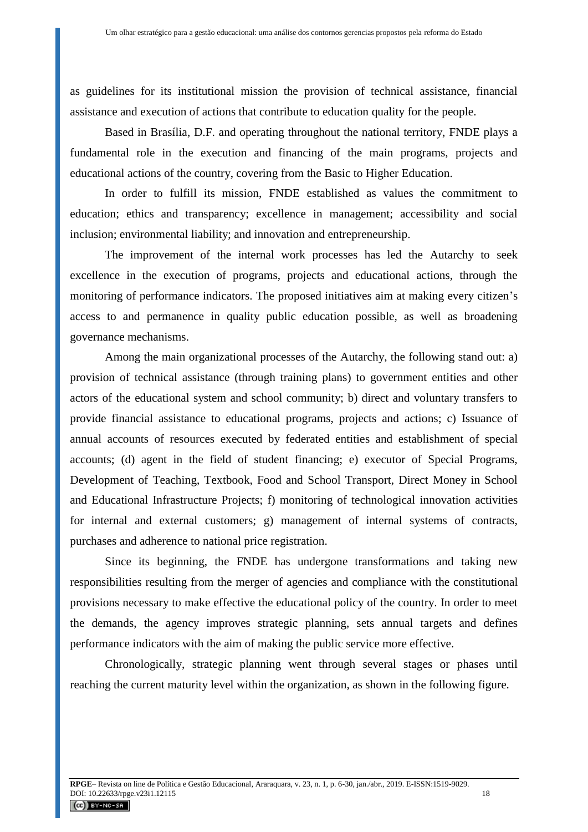as guidelines for its institutional mission the provision of technical assistance, financial assistance and execution of actions that contribute to education quality for the people.

Based in Brasília, D.F. and operating throughout the national territory, FNDE plays a fundamental role in the execution and financing of the main programs, projects and educational actions of the country, covering from the Basic to Higher Education.

In order to fulfill its mission, FNDE established as values the commitment to education; ethics and transparency; excellence in management; accessibility and social inclusion; environmental liability; and innovation and entrepreneurship.

The improvement of the internal work processes has led the Autarchy to seek excellence in the execution of programs, projects and educational actions, through the monitoring of performance indicators. The proposed initiatives aim at making every citizen's access to and permanence in quality public education possible, as well as broadening governance mechanisms.

Among the main organizational processes of the Autarchy, the following stand out: a) provision of technical assistance (through training plans) to government entities and other actors of the educational system and school community; b) direct and voluntary transfers to provide financial assistance to educational programs, projects and actions; c) Issuance of annual accounts of resources executed by federated entities and establishment of special accounts; (d) agent in the field of student financing; e) executor of Special Programs, Development of Teaching, Textbook, Food and School Transport, Direct Money in School and Educational Infrastructure Projects; f) monitoring of technological innovation activities for internal and external customers; g) management of internal systems of contracts, purchases and adherence to national price registration.

Since its beginning, the FNDE has undergone transformations and taking new responsibilities resulting from the merger of agencies and compliance with the constitutional provisions necessary to make effective the educational policy of the country. In order to meet the demands, the agency improves strategic planning, sets annual targets and defines performance indicators with the aim of making the public service more effective.

Chronologically, strategic planning went through several stages or phases until reaching the current maturity level within the organization, as shown in the following figure.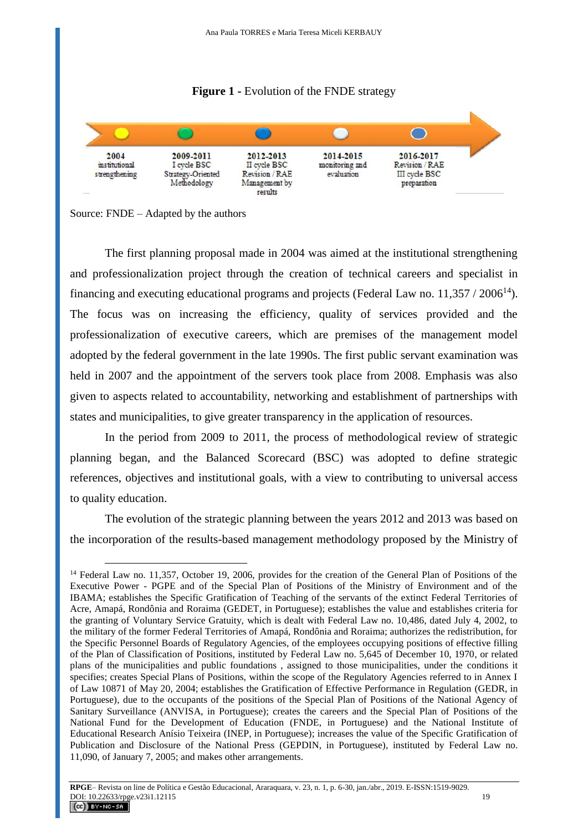



Source: FNDE – Adapted by the authors

The first planning proposal made in 2004 was aimed at the institutional strengthening and professionalization project through the creation of technical careers and specialist in financing and executing educational programs and projects (Federal Law no.  $11,357 / 2006^{14}$ ). The focus was on increasing the efficiency, quality of services provided and the professionalization of executive careers, which are premises of the management model adopted by the federal government in the late 1990s. The first public servant examination was held in 2007 and the appointment of the servers took place from 2008. Emphasis was also given to aspects related to accountability, networking and establishment of partnerships with states and municipalities, to give greater transparency in the application of resources.

In the period from 2009 to 2011, the process of methodological review of strategic planning began, and the Balanced Scorecard (BSC) was adopted to define strategic references, objectives and institutional goals, with a view to contributing to universal access to quality education.

The evolution of the strategic planning between the years 2012 and 2013 was based on the incorporation of the results-based management methodology proposed by the Ministry of

 $\overline{a}$ <sup>14</sup> Federal Law no. 11,357, October 19, 2006, provides for the creation of the General Plan of Positions of the Executive Power - PGPE and of the Special Plan of Positions of the Ministry of Environment and of the IBAMA; establishes the Specific Gratification of Teaching of the servants of the extinct Federal Territories of Acre, Amapá, Rondônia and Roraima (GEDET, in Portuguese); establishes the value and establishes criteria for the granting of Voluntary Service Gratuity, which is dealt with Federal Law no. 10,486, dated July 4, 2002, to the military of the former Federal Territories of Amapá, Rondônia and Roraima; authorizes the redistribution, for the Specific Personnel Boards of Regulatory Agencies, of the employees occupying positions of effective filling of the Plan of Classification of Positions, instituted by Federal Law no. 5,645 of December 10, 1970, or related plans of the municipalities and public foundations , assigned to those municipalities, under the conditions it specifies; creates Special Plans of Positions, within the scope of the Regulatory Agencies referred to in Annex I of Law 10871 of May 20, 2004; establishes the Gratification of Effective Performance in Regulation (GEDR, in Portuguese), due to the occupants of the positions of the Special Plan of Positions of the National Agency of Sanitary Surveillance (ANVISA, in Portuguese); creates the careers and the Special Plan of Positions of the National Fund for the Development of Education (FNDE, in Portuguese) and the National Institute of Educational Research Anísio Teixeira (INEP, in Portuguese); increases the value of the Specific Gratification of Publication and Disclosure of the National Press (GEPDIN, in Portuguese), instituted by Federal Law no. 11,090, of January 7, 2005; and makes other arrangements.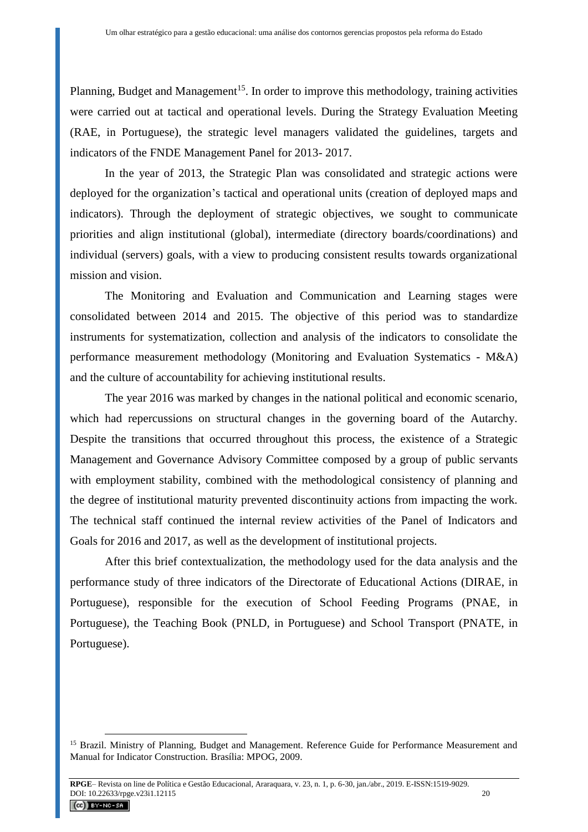Planning, Budget and Management<sup>15</sup>. In order to improve this methodology, training activities were carried out at tactical and operational levels. During the Strategy Evaluation Meeting (RAE, in Portuguese), the strategic level managers validated the guidelines, targets and indicators of the FNDE Management Panel for 2013- 2017.

In the year of 2013, the Strategic Plan was consolidated and strategic actions were deployed for the organization's tactical and operational units (creation of deployed maps and indicators). Through the deployment of strategic objectives, we sought to communicate priorities and align institutional (global), intermediate (directory boards/coordinations) and individual (servers) goals, with a view to producing consistent results towards organizational mission and vision.

The Monitoring and Evaluation and Communication and Learning stages were consolidated between 2014 and 2015. The objective of this period was to standardize instruments for systematization, collection and analysis of the indicators to consolidate the performance measurement methodology (Monitoring and Evaluation Systematics - M&A) and the culture of accountability for achieving institutional results.

The year 2016 was marked by changes in the national political and economic scenario, which had repercussions on structural changes in the governing board of the Autarchy. Despite the transitions that occurred throughout this process, the existence of a Strategic Management and Governance Advisory Committee composed by a group of public servants with employment stability, combined with the methodological consistency of planning and the degree of institutional maturity prevented discontinuity actions from impacting the work. The technical staff continued the internal review activities of the Panel of Indicators and Goals for 2016 and 2017, as well as the development of institutional projects.

After this brief contextualization, the methodology used for the data analysis and the performance study of three indicators of the Directorate of Educational Actions (DIRAE, in Portuguese), responsible for the execution of School Feeding Programs (PNAE, in Portuguese), the Teaching Book (PNLD, in Portuguese) and School Transport (PNATE, in Portuguese).

<sup>&</sup>lt;sup>15</sup> Brazil. Ministry of Planning, Budget and Management. Reference Guide for Performance Measurement and Manual for Indicator Construction. Brasília: MPOG, 2009.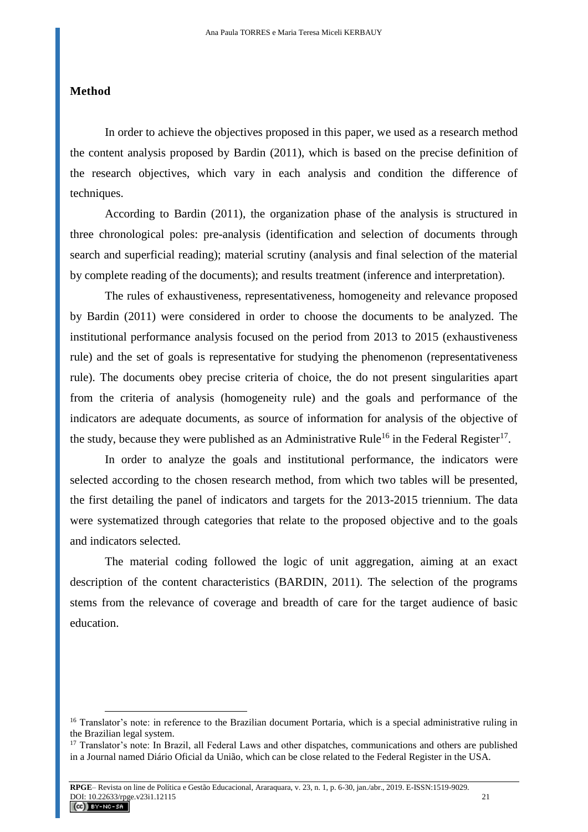#### **Method**

 $\overline{a}$ 

In order to achieve the objectives proposed in this paper, we used as a research method the content analysis proposed by Bardin (2011), which is based on the precise definition of the research objectives, which vary in each analysis and condition the difference of techniques.

According to Bardin (2011), the organization phase of the analysis is structured in three chronological poles: pre-analysis (identification and selection of documents through search and superficial reading); material scrutiny (analysis and final selection of the material by complete reading of the documents); and results treatment (inference and interpretation).

The rules of exhaustiveness, representativeness, homogeneity and relevance proposed by Bardin (2011) were considered in order to choose the documents to be analyzed. The institutional performance analysis focused on the period from 2013 to 2015 (exhaustiveness rule) and the set of goals is representative for studying the phenomenon (representativeness rule). The documents obey precise criteria of choice, the do not present singularities apart from the criteria of analysis (homogeneity rule) and the goals and performance of the indicators are adequate documents, as source of information for analysis of the objective of the study, because they were published as an Administrative Rule<sup>16</sup> in the Federal Register<sup>17</sup>.

In order to analyze the goals and institutional performance, the indicators were selected according to the chosen research method, from which two tables will be presented, the first detailing the panel of indicators and targets for the 2013-2015 triennium. The data were systematized through categories that relate to the proposed objective and to the goals and indicators selected.

The material coding followed the logic of unit aggregation, aiming at an exact description of the content characteristics (BARDIN, 2011). The selection of the programs stems from the relevance of coverage and breadth of care for the target audience of basic education.

<sup>&</sup>lt;sup>16</sup> Translator's note: in reference to the Brazilian document Portaria, which is a special administrative ruling in the Brazilian legal system.

<sup>&</sup>lt;sup>17</sup> Translator's note: In Brazil, all Federal Laws and other dispatches, communications and others are published in a Journal named Diário Oficial da União, which can be close related to the Federal Register in the USA.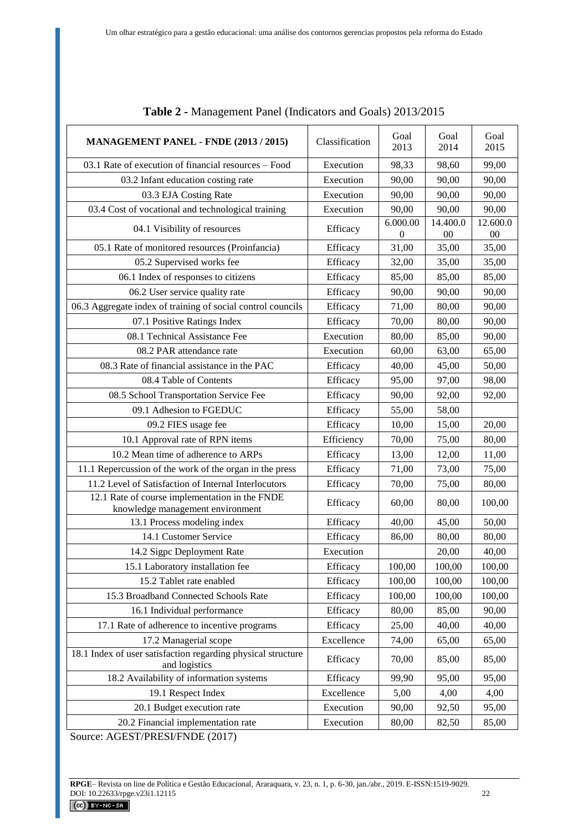| <b>MANAGEMENT PANEL - FNDE (2013 / 2015)</b>                                       | Classification | Goal<br>2013                 | Goal<br>2014       | Goal<br>2015       |
|------------------------------------------------------------------------------------|----------------|------------------------------|--------------------|--------------------|
| 03.1 Rate of execution of financial resources – Food                               | Execution      | 98,33                        | 98,60              | 99,00              |
| 03.2 Infant education costing rate                                                 | Execution      | 90,00                        | 90,00              | 90,00              |
| 03.3 EJA Costing Rate                                                              | Execution      | 90,00                        | 90,00              | 90,00              |
| 03.4 Cost of vocational and technological training                                 | Execution      | 90,00                        | 90,00              | 90,00              |
| 04.1 Visibility of resources                                                       | Efficacy       | 6.000.00<br>$\boldsymbol{0}$ | 14.400.0<br>$00\,$ | 12.600.0<br>$00\,$ |
| 05.1 Rate of monitored resources (Proinfancia)                                     | Efficacy       | 31,00                        | 35,00              | 35,00              |
| 05.2 Supervised works fee                                                          | Efficacy       | 32,00                        | 35,00              | 35,00              |
| 06.1 Index of responses to citizens                                                | Efficacy       | 85,00                        | 85,00              | 85,00              |
| 06.2 User service quality rate                                                     | Efficacy       | 90,00                        | 90,00              | 90,00              |
| 06.3 Aggregate index of training of social control councils                        | Efficacy       | 71,00                        | 80,00              | 90,00              |
| 07.1 Positive Ratings Index                                                        | Efficacy       | 70,00                        | 80,00              | 90,00              |
| 08.1 Technical Assistance Fee                                                      | Execution      | 80,00                        | 85,00              | 90,00              |
| 08.2 PAR attendance rate                                                           | Execution      | 60,00                        | 63,00              | 65,00              |
| 08.3 Rate of financial assistance in the PAC                                       | Efficacy       | 40,00                        | 45,00              | 50,00              |
| 08.4 Table of Contents                                                             | Efficacy       | 95,00                        | 97,00              | 98,00              |
| 08.5 School Transportation Service Fee                                             | Efficacy       | 90,00                        | 92,00              | 92,00              |
| 09.1 Adhesion to FGEDUC                                                            | Efficacy       | 55,00                        | 58,00              |                    |
| 09.2 FIES usage fee                                                                | Efficacy       | 10,00                        | 15,00              | 20,00              |
| 10.1 Approval rate of RPN items                                                    | Efficiency     | 70,00                        | 75,00              | 80,00              |
| 10.2 Mean time of adherence to ARPs                                                | Efficacy       | 13,00                        | 12,00              | 11,00              |
| 11.1 Repercussion of the work of the organ in the press                            | Efficacy       | 71,00                        | 73,00              | 75,00              |
| 11.2 Level of Satisfaction of Internal Interlocutors                               | Efficacy       | 70,00                        | 75,00              | 80,00              |
| 12.1 Rate of course implementation in the FNDE<br>knowledge management environment | Efficacy       | 60,00                        | 80,00              | 100,00             |
| 13.1 Process modeling index                                                        | Efficacy       | 40,00                        | 45,00              | 50,00              |
| 14.1 Customer Service                                                              | Efficacy       | 86,00                        | 80,00              | 80,00              |
| 14.2 Sigpc Deployment Rate                                                         | Execution      |                              | 20,00              | 40,00              |
| 15.1 Laboratory installation fee                                                   | Efficacy       | 100,00                       | 100,00             | 100,00             |
| 15.2 Tablet rate enabled                                                           | Efficacy       | 100,00                       | 100,00             | 100,00             |
| 15.3 Broadband Connected Schools Rate                                              | Efficacy       | 100,00                       | 100,00             | 100,00             |
| 16.1 Individual performance                                                        | Efficacy       | 80,00                        | 85,00              | 90,00              |
| 17.1 Rate of adherence to incentive programs                                       | Efficacy       | 25,00                        | 40,00              | 40,00              |
| 17.2 Managerial scope                                                              | Excellence     | 74,00                        | 65,00              | 65,00              |
| 18.1 Index of user satisfaction regarding physical structure<br>and logistics      | Efficacy       | 70,00                        | 85,00              | 85,00              |
| 18.2 Availability of information systems                                           | Efficacy       | 99,90                        | 95,00              | 95,00              |
| 19.1 Respect Index                                                                 | Excellence     | 5,00                         | 4,00               | 4,00               |
| 20.1 Budget execution rate                                                         | Execution      | 90,00                        | 92,50              | 95,00              |
| 20.2 Financial implementation rate                                                 | Execution      | 80,00                        | 82,50              | 85,00              |

| Table 2 - Management Panel (Indicators and Goals) 2013/2015 |  |  |  |
|-------------------------------------------------------------|--|--|--|
|-------------------------------------------------------------|--|--|--|

Source: AGEST/PRESI/FNDE (2017)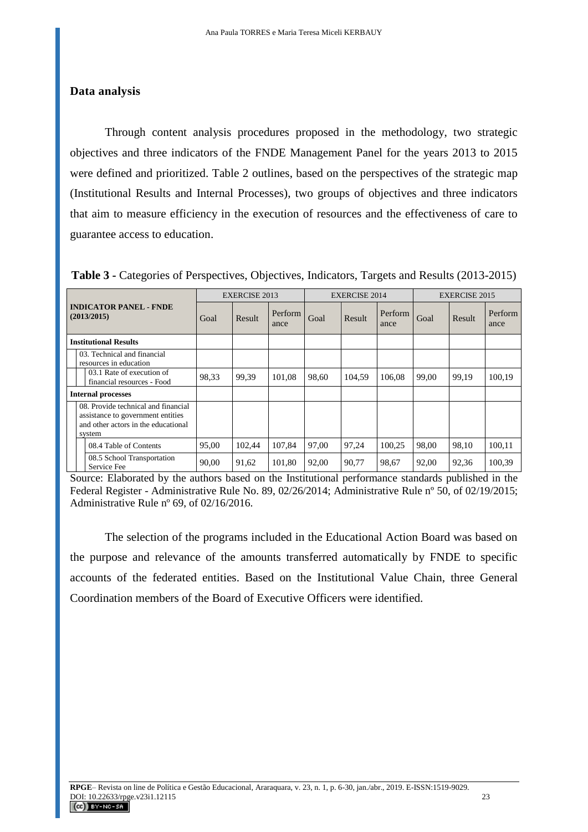### **Data analysis**

Through content analysis procedures proposed in the methodology, two strategic objectives and three indicators of the FNDE Management Panel for the years 2013 to 2015 were defined and prioritized. Table 2 outlines, based on the perspectives of the strategic map (Institutional Results and Internal Processes), two groups of objectives and three indicators that aim to measure efficiency in the execution of resources and the effectiveness of care to guarantee access to education.

| <b>INDICATOR PANEL - FNDE</b><br>(2013/2015) |  | <b>EXERCISE 2013</b>                                                                                                      |        | <b>EXERCISE 2014</b> |        |        | <b>EXERCISE 2015</b> |        |        |                 |        |
|----------------------------------------------|--|---------------------------------------------------------------------------------------------------------------------------|--------|----------------------|--------|--------|----------------------|--------|--------|-----------------|--------|
|                                              |  | Goal                                                                                                                      | Result | Perform<br>ance      | Goal   | Result | Perform<br>ance      | Goal   | Result | Perform<br>ance |        |
| <b>Institutional Results</b>                 |  |                                                                                                                           |        |                      |        |        |                      |        |        |                 |        |
|                                              |  | 03. Technical and financial<br>resources in education                                                                     |        |                      |        |        |                      |        |        |                 |        |
|                                              |  | 03.1 Rate of execution of<br>financial resources - Food                                                                   | 98,33  | 99.39                | 101.08 | 98.60  | 104.59               | 106.08 | 99.00  | 99.19           | 100,19 |
| <b>Internal processes</b>                    |  |                                                                                                                           |        |                      |        |        |                      |        |        |                 |        |
|                                              |  | 08. Provide technical and financial<br>assistance to government entities<br>and other actors in the educational<br>system |        |                      |        |        |                      |        |        |                 |        |
|                                              |  | 08.4 Table of Contents                                                                                                    | 95,00  | 102,44               | 107,84 | 97.00  | 97.24                | 100.25 | 98.00  | 98,10           | 100.11 |
|                                              |  | 08.5 School Transportation<br>Service Fee                                                                                 | 90,00  | 91,62                | 101,80 | 92,00  | 90,77                | 98,67  | 92,00  | 92,36           | 100,39 |

**Table 3 -** Categories of Perspectives, Objectives, Indicators, Targets and Results (2013-2015)

Source: Elaborated by the authors based on the Institutional performance standards published in the Federal Register - Administrative Rule No. 89, 02/26/2014; Administrative Rule nº 50, of 02/19/2015; Administrative Rule nº 69, of 02/16/2016.

The selection of the programs included in the Educational Action Board was based on the purpose and relevance of the amounts transferred automatically by FNDE to specific accounts of the federated entities. Based on the Institutional Value Chain, three General Coordination members of the Board of Executive Officers were identified.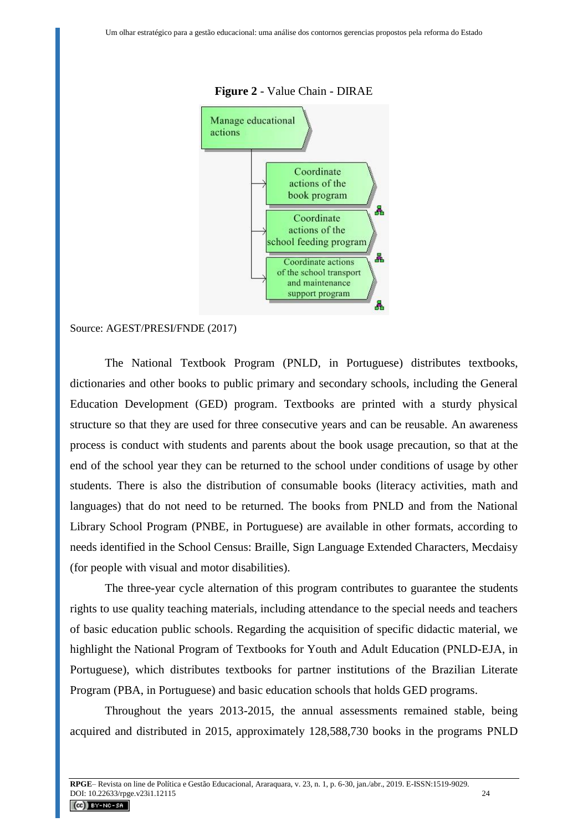

#### **Figure 2** - Value Chain - DIRAE

#### Source: AGEST/PRESI/FNDE (2017)

The National Textbook Program (PNLD, in Portuguese) distributes textbooks, dictionaries and other books to public primary and secondary schools, including the General Education Development (GED) program. Textbooks are printed with a sturdy physical structure so that they are used for three consecutive years and can be reusable. An awareness process is conduct with students and parents about the book usage precaution, so that at the end of the school year they can be returned to the school under conditions of usage by other students. There is also the distribution of consumable books (literacy activities, math and languages) that do not need to be returned. The books from PNLD and from the National Library School Program (PNBE, in Portuguese) are available in other formats, according to needs identified in the School Census: Braille, Sign Language Extended Characters, Mecdaisy (for people with visual and motor disabilities).

The three-year cycle alternation of this program contributes to guarantee the students rights to use quality teaching materials, including attendance to the special needs and teachers of basic education public schools. Regarding the acquisition of specific didactic material, we highlight the National Program of Textbooks for Youth and Adult Education (PNLD-EJA, in Portuguese), which distributes textbooks for partner institutions of the Brazilian Literate Program (PBA, in Portuguese) and basic education schools that holds GED programs.

Throughout the years 2013-2015, the annual assessments remained stable, being acquired and distributed in 2015, approximately 128,588,730 books in the programs PNLD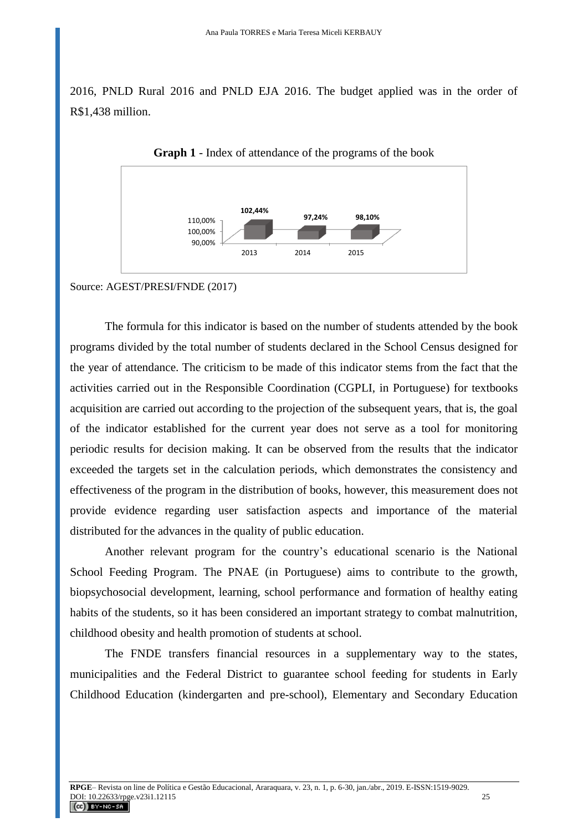2016, PNLD Rural 2016 and PNLD EJA 2016. The budget applied was in the order of R\$1,438 million.



**Graph 1** - Index of attendance of the programs of the book

Source: AGEST/PRESI/FNDE (2017)

The formula for this indicator is based on the number of students attended by the book programs divided by the total number of students declared in the School Census designed for the year of attendance. The criticism to be made of this indicator stems from the fact that the activities carried out in the Responsible Coordination (CGPLI, in Portuguese) for textbooks acquisition are carried out according to the projection of the subsequent years, that is, the goal of the indicator established for the current year does not serve as a tool for monitoring periodic results for decision making. It can be observed from the results that the indicator exceeded the targets set in the calculation periods, which demonstrates the consistency and effectiveness of the program in the distribution of books, however, this measurement does not provide evidence regarding user satisfaction aspects and importance of the material distributed for the advances in the quality of public education.

Another relevant program for the country's educational scenario is the National School Feeding Program. The PNAE (in Portuguese) aims to contribute to the growth, biopsychosocial development, learning, school performance and formation of healthy eating habits of the students, so it has been considered an important strategy to combat malnutrition, childhood obesity and health promotion of students at school.

The FNDE transfers financial resources in a supplementary way to the states, municipalities and the Federal District to guarantee school feeding for students in Early Childhood Education (kindergarten and pre-school), Elementary and Secondary Education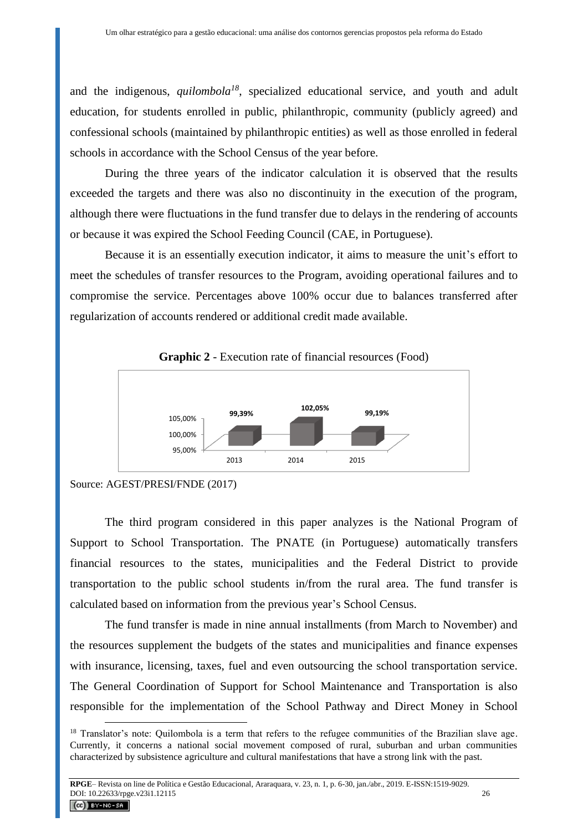and the indigenous, *quilombola<sup>18</sup>* , specialized educational service, and youth and adult education, for students enrolled in public, philanthropic, community (publicly agreed) and confessional schools (maintained by philanthropic entities) as well as those enrolled in federal schools in accordance with the School Census of the year before.

During the three years of the indicator calculation it is observed that the results exceeded the targets and there was also no discontinuity in the execution of the program, although there were fluctuations in the fund transfer due to delays in the rendering of accounts or because it was expired the School Feeding Council (CAE, in Portuguese).

Because it is an essentially execution indicator, it aims to measure the unit's effort to meet the schedules of transfer resources to the Program, avoiding operational failures and to compromise the service. Percentages above 100% occur due to balances transferred after regularization of accounts rendered or additional credit made available.



**Graphic 2** - Execution rate of financial resources (Food)

 $\overline{a}$ 

The third program considered in this paper analyzes is the National Program of Support to School Transportation. The PNATE (in Portuguese) automatically transfers financial resources to the states, municipalities and the Federal District to provide transportation to the public school students in/from the rural area. The fund transfer is calculated based on information from the previous year's School Census.

The fund transfer is made in nine annual installments (from March to November) and the resources supplement the budgets of the states and municipalities and finance expenses with insurance, licensing, taxes, fuel and even outsourcing the school transportation service. The General Coordination of Support for School Maintenance and Transportation is also responsible for the implementation of the School Pathway and Direct Money in School

Source: AGEST/PRESI/FNDE (2017)

<sup>&</sup>lt;sup>18</sup> Translator's note: Quilombola is a term that refers to the refugee communities of the Brazilian slave age. Currently, it concerns a national social movement composed of rural, suburban and urban communities characterized by subsistence agriculture and cultural manifestations that have a strong link with the past.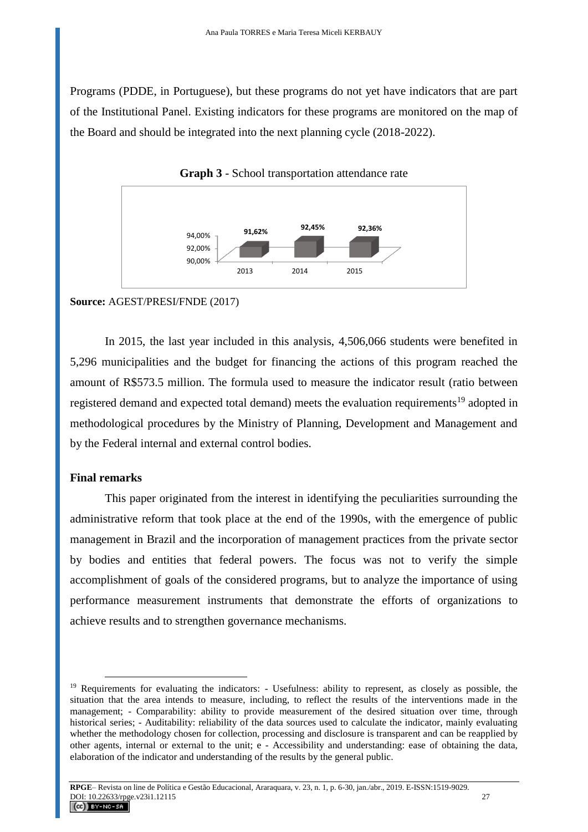Programs (PDDE, in Portuguese), but these programs do not yet have indicators that are part of the Institutional Panel. Existing indicators for these programs are monitored on the map of the Board and should be integrated into the next planning cycle (2018-2022).



**Graph 3** - School transportation attendance rate

#### **Source:** AGEST/PRESI/FNDE (2017)

In 2015, the last year included in this analysis, 4,506,066 students were benefited in 5,296 municipalities and the budget for financing the actions of this program reached the amount of R\$573.5 million. The formula used to measure the indicator result (ratio between registered demand and expected total demand) meets the evaluation requirements<sup>19</sup> adopted in methodological procedures by the Ministry of Planning, Development and Management and by the Federal internal and external control bodies.

## **Final remarks**

 $\overline{a}$ 

This paper originated from the interest in identifying the peculiarities surrounding the administrative reform that took place at the end of the 1990s, with the emergence of public management in Brazil and the incorporation of management practices from the private sector by bodies and entities that federal powers. The focus was not to verify the simple accomplishment of goals of the considered programs, but to analyze the importance of using performance measurement instruments that demonstrate the efforts of organizations to achieve results and to strengthen governance mechanisms.

<sup>&</sup>lt;sup>19</sup> Requirements for evaluating the indicators: - Usefulness: ability to represent, as closely as possible, the situation that the area intends to measure, including, to reflect the results of the interventions made in the management; - Comparability: ability to provide measurement of the desired situation over time, through historical series; - Auditability: reliability of the data sources used to calculate the indicator, mainly evaluating whether the methodology chosen for collection, processing and disclosure is transparent and can be reapplied by other agents, internal or external to the unit; e - Accessibility and understanding: ease of obtaining the data, elaboration of the indicator and understanding of the results by the general public.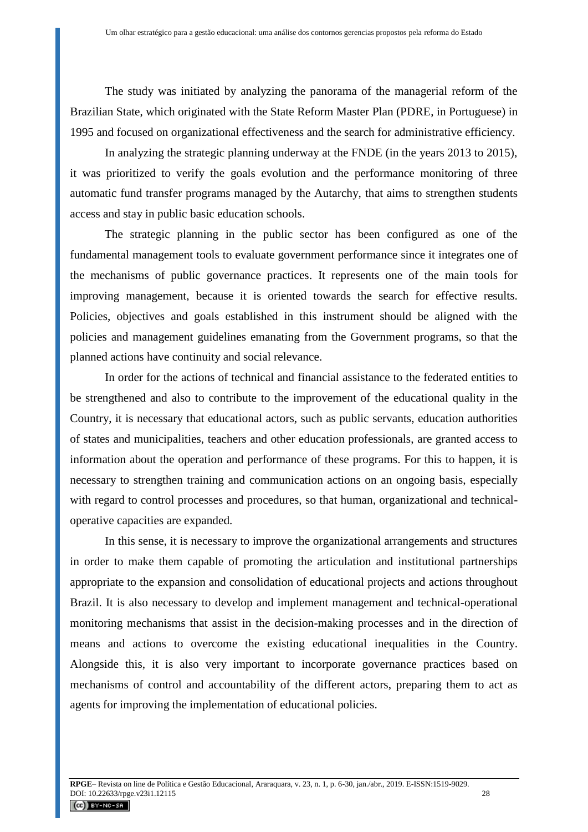The study was initiated by analyzing the panorama of the managerial reform of the Brazilian State, which originated with the State Reform Master Plan (PDRE, in Portuguese) in 1995 and focused on organizational effectiveness and the search for administrative efficiency.

In analyzing the strategic planning underway at the FNDE (in the years 2013 to 2015), it was prioritized to verify the goals evolution and the performance monitoring of three automatic fund transfer programs managed by the Autarchy, that aims to strengthen students access and stay in public basic education schools.

The strategic planning in the public sector has been configured as one of the fundamental management tools to evaluate government performance since it integrates one of the mechanisms of public governance practices. It represents one of the main tools for improving management, because it is oriented towards the search for effective results. Policies, objectives and goals established in this instrument should be aligned with the policies and management guidelines emanating from the Government programs, so that the planned actions have continuity and social relevance.

In order for the actions of technical and financial assistance to the federated entities to be strengthened and also to contribute to the improvement of the educational quality in the Country, it is necessary that educational actors, such as public servants, education authorities of states and municipalities, teachers and other education professionals, are granted access to information about the operation and performance of these programs. For this to happen, it is necessary to strengthen training and communication actions on an ongoing basis, especially with regard to control processes and procedures, so that human, organizational and technicaloperative capacities are expanded.

In this sense, it is necessary to improve the organizational arrangements and structures in order to make them capable of promoting the articulation and institutional partnerships appropriate to the expansion and consolidation of educational projects and actions throughout Brazil. It is also necessary to develop and implement management and technical-operational monitoring mechanisms that assist in the decision-making processes and in the direction of means and actions to overcome the existing educational inequalities in the Country. Alongside this, it is also very important to incorporate governance practices based on mechanisms of control and accountability of the different actors, preparing them to act as agents for improving the implementation of educational policies.

 $\left(\begin{matrix} \mathbf{G} \end{matrix}\right)$  BY-NC-SA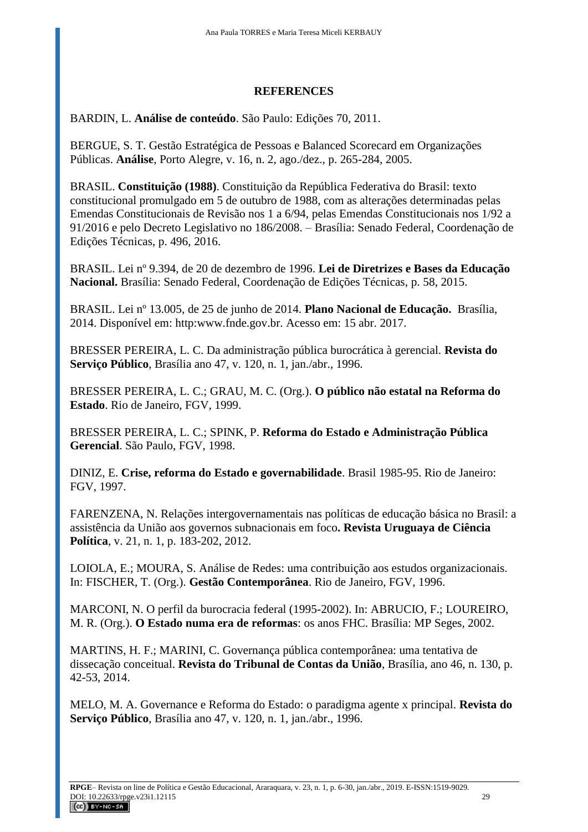# **REFERENCES**

BARDIN, L. **Análise de conteúdo**. São Paulo: Edições 70, 2011.

BERGUE, S. T. Gestão Estratégica de Pessoas e Balanced Scorecard em Organizações Públicas. **Análise**, Porto Alegre, v. 16, n. 2, ago./dez., p. 265-284, 2005.

BRASIL. **Constituição (1988)**. Constituição da República Federativa do Brasil: texto constitucional promulgado em 5 de outubro de 1988, com as alterações determinadas pelas Emendas Constitucionais de Revisão nos 1 a 6/94, pelas Emendas Constitucionais nos 1/92 a 91/2016 e pelo Decreto Legislativo no 186/2008. – Brasília: Senado Federal, Coordenação de Edições Técnicas, p. 496, 2016.

BRASIL. Lei nº 9.394, de 20 de dezembro de 1996. **Lei de Diretrizes e Bases da Educação Nacional.** Brasília: Senado Federal, Coordenação de Edições Técnicas, p. 58, 2015.

BRASIL. Lei nº 13.005, de 25 de junho de 2014. **Plano Nacional de Educação.** Brasília, 2014. Disponível em: http:www.fnde.gov.br. Acesso em: 15 abr. 2017.

BRESSER PEREIRA, L. C. Da administração pública burocrática à gerencial. **Revista do Serviço Público**, Brasília ano 47, v. 120, n. 1, jan./abr., 1996.

BRESSER PEREIRA, L. C.; GRAU, M. C. (Org.). **O público não estatal na Reforma do Estado**. Rio de Janeiro, FGV, 1999.

BRESSER PEREIRA, L. C.; SPINK, P. **Reforma do Estado e Administração Pública Gerencial**. São Paulo, FGV, 1998.

DINIZ, E. **Crise, reforma do Estado e governabilidade**. Brasil 1985-95. Rio de Janeiro: FGV, 1997.

FARENZENA, N. Relações intergovernamentais nas políticas de educação básica no Brasil: a assistência da União aos governos subnacionais em foco**. Revista Uruguaya de Ciência Política**, v. 21, n. 1, p. 183-202, 2012.

LOIOLA, E.; MOURA, S. Análise de Redes: uma contribuição aos estudos organizacionais. In: FISCHER, T. (Org.). **Gestão Contemporânea**. Rio de Janeiro, FGV, 1996.

MARCONI, N. O perfil da burocracia federal (1995-2002). In: ABRUCIO, F.; LOUREIRO, M. R. (Org.). **O Estado numa era de reformas**: os anos FHC. Brasília: MP Seges, 2002.

MARTINS, H. F.; MARINI, C. Governança pública contemporânea: uma tentativa de dissecação conceitual. **Revista do Tribunal de Contas da União**, Brasília, ano 46, n. 130, p. 42-53, 2014.

MELO, M. A. Governance e Reforma do Estado: o paradigma agente x principal. **Revista do Serviço Público**, Brasília ano 47, v. 120, n. 1, jan./abr., 1996.